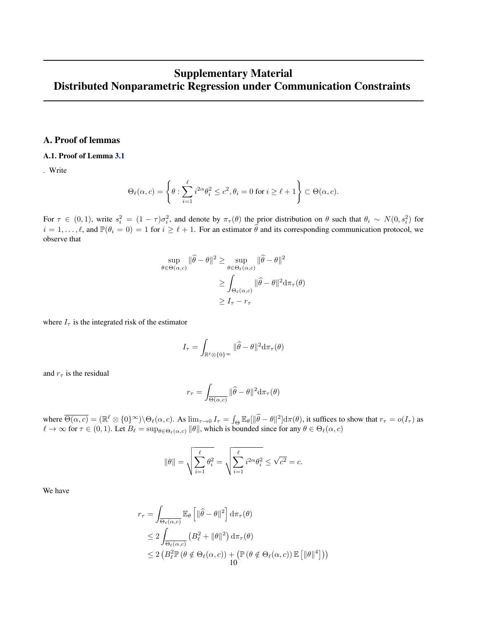## Supplementary Material Distributed Nonparametric Regression under Communication Constraints

## A. Proof of lemmas

## A.1. Proof of Lemma 3.1

*.* Write

$$
\Theta_{\ell}(\alpha, c) = \left\{\theta : \sum_{i=1}^{\ell} i^{2\alpha} \theta_i^2 \le c^2, \theta_i = 0 \text{ for } i \ge \ell + 1 \right\} \subset \Theta(\alpha, c).
$$

For  $\tau \in (0,1)$ , write  $s_i^2 = (1-\tau)\sigma_i^2$ , and denote by  $\pi_\tau(\theta)$  the prior distribution on  $\theta$  such that  $\theta_i \sim N(0, s_i^2)$  for  $i = 1, \ldots, \ell$ , and  $\mathbb{P}(\theta_i = 0) = 1$  for  $i \ge \ell + 1$ . For an estimator  $\hat{\theta}$  and its corresponding communication protocol, we observe that

$$
\sup_{\theta \in \Theta(\alpha, c)} \|\widehat{\theta} - \theta\|^2 \ge \sup_{\theta \in \Theta_{\ell}(\alpha, c)} \|\widehat{\theta} - \theta\|^2
$$

$$
\ge \int_{\Theta_{\ell}(\alpha, c)} \|\widehat{\theta} - \theta\|^2 d\pi_\tau(\theta)
$$

$$
\ge I_\tau - r_\tau
$$

where  $I_{\tau}$  is the integrated risk of the estimator

$$
I_\tau = \int_{\mathbb{R}^\ell \otimes \{0\}^\infty} \| \widehat{\theta} - \theta \|^2 \text{d} \pi_\tau(\theta)
$$

and  $r_{\tau}$  is the residual

$$
r_{\tau} = \int_{\overline{\Theta(\alpha, c)}} ||\widehat{\theta} - \theta||^2 d\pi_{\tau}(\theta)
$$

where  $\overline{\Theta(\alpha, c)} = (\mathbb{R}^{\ell} \otimes \{0\}^{\infty}) \setminus \Theta_{\ell}(\alpha, c)$ . As  $\lim_{\tau \to 0} I_{\tau} = \int_{\Theta} \mathbb{E}_{\theta} [\|\widehat{\theta} - \theta\|^2] d\pi(\theta)$ , it suffices to show that  $r_{\tau} = o(I_{\tau})$  as  $\ell \to \infty$  for  $\tau \in (0, 1)$ . Let  $B_\ell = \sup_{\theta \in \Theta_\ell(\alpha, c)} \|\theta\|$ , which is bounded since for any  $\theta \in \Theta_\ell(\alpha, c)$ 

$$
\|\theta\| = \sqrt{\sum_{i=1}^{\ell} \theta_i^2} = \sqrt{\sum_{i=1}^{\ell} i^{2\alpha} \theta_i^2} \leq \sqrt{c^2} = c.
$$

We have

$$
r_{\tau} = \int_{\overline{\Theta_{\ell}(\alpha,c)}} \mathbb{E}_{\theta} \left[ \| \widehat{\theta} - \theta \|^2 \right] d\pi_{\tau}(\theta)
$$
  
\n
$$
\leq 2 \int_{\overline{\Theta_{\ell}(\alpha,c)}} \left( B_{\ell}^2 + \| \theta \|^2 \right) d\pi_{\tau}(\theta)
$$
  
\n
$$
\leq 2 \left( B_{\ell}^2 \mathbb{P} \left( \theta \notin \Theta_{\ell}(\alpha,c) \right) + \left( \mathbb{P} \left( \theta \notin \Theta_{\ell}(\alpha,c) \right) \mathbb{E} \left[ \| \theta \|^4 \right] \right) \right)
$$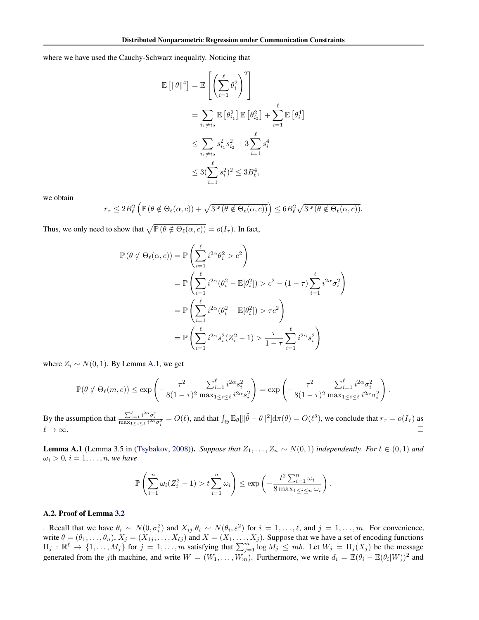where we have used the Cauchy-Schwarz inequality. Noticing that

$$
\mathbb{E} [\|\theta\|^4] = \mathbb{E} \left[ \left( \sum_{i=1}^{\ell} \theta_i^2 \right)^2 \right]
$$
  
= 
$$
\sum_{i_1 \neq i_2} \mathbb{E} [\theta_{i_1}^2] \mathbb{E} [\theta_{i_2}^2] + \sum_{i=1}^{\ell} \mathbb{E} [\theta_i^4]
$$
  

$$
\leq \sum_{i_1 \neq i_2} s_{i_1}^2 s_{i_2}^2 + 3 \sum_{i=1}^{\ell} s_i^4
$$
  

$$
\leq 3(\sum_{i=1}^{\ell} s_i^2)^2 \leq 3B_{\ell}^4,
$$

we obtain

$$
r_{\tau} \leq 2B_{\ell}^{2} \left( \mathbb{P} \left( \theta \notin \Theta_{\ell}(\alpha, c) \right) + \sqrt{3\mathbb{P} \left( \theta \notin \Theta_{\ell}(\alpha, c) \right)} \right) \leq 6B_{\ell}^{2} \sqrt{3\mathbb{P} \left( \theta \notin \Theta_{\ell}(\alpha, c) \right)}.
$$

Thus, we only need to show that  $\sqrt{\mathbb{P}(\theta \notin \Theta_\ell(\alpha, c))} = o(I_\tau)$ . In fact,

$$
\mathbb{P}(\theta \notin \Theta_{\ell}(\alpha, c)) = \mathbb{P}\left(\sum_{i=1}^{\ell} i^{2\alpha} \theta_i^2 > c^2\right)
$$
  
\n
$$
= \mathbb{P}\left(\sum_{i=1}^{\ell} i^{2\alpha} (\theta_i^2 - \mathbb{E}[\theta_i^2]) > c^2 - (1 - \tau) \sum_{i=1}^{\ell} i^{2\alpha} \sigma_i^2\right)
$$
  
\n
$$
= \mathbb{P}\left(\sum_{i=1}^{\ell} i^{2\alpha} (\theta_i^2 - \mathbb{E}[\theta_i^2]) > \tau c^2\right)
$$
  
\n
$$
= \mathbb{P}\left(\sum_{i=1}^{\ell} i^{2\alpha} s_i^2 (Z_i^2 - 1) > \frac{\tau}{1 - \tau} \sum_{i=1}^{\ell} i^{2\alpha} s_i^2\right)
$$

where  $Z_i \sim N(0, 1)$ . By Lemma A.1, we get

$$
\mathbb{P}(\theta \notin \Theta_{\ell}(m,c)) \le \exp\left(-\frac{\tau^2}{8(1-\tau)^2} \frac{\sum_{i=1}^{\ell} i^{2\alpha} s_i^2}{\max_{1 \le i \le \ell} i^{2\alpha} s_i^2}\right) = \exp\left(-\frac{\tau^2}{8(1-\tau)^2} \frac{\sum_{i=1}^{\ell} i^{2\alpha} \sigma_i^2}{\max_{1 \le i \le \ell} i^{2\alpha} \sigma_i^2}\right).
$$

By the assumption that  $\frac{\sum_{i=1}^{\ell} i^{2\alpha} \sigma_i^2}{\max_{1 \leq i \leq \ell} i^{2\alpha} \sigma_i^2} = O(\ell)$ , and that  $\int_{\Theta} \mathbb{E}_{\theta} [\|\widehat{\theta} - \theta\|^2] d\pi(\theta) = O(\ell^{\delta})$ , we conclude that  $r_{\tau} = o(I_{\tau})$  as  $\ell \to \infty$ .  $\Box$ 

**Lemma A.1** (Lemma 3.5 in (Tsybakov, 2008)). *Suppose that*  $Z_1, \ldots, Z_n \sim N(0, 1)$  *independently. For*  $t \in (0, 1)$  *and*  $\omega_i > 0$ ,  $i = 1, \ldots, n$ , we have

$$
\mathbb{P}\left(\sum_{i=1}^n \omega_i (Z_i^2 - 1) > t \sum_{i=1}^n \omega_i\right) \le \exp\left(-\frac{t^2 \sum_{i=1}^n \omega_i}{8 \max_{1 \le i \le n} \omega_i}\right).
$$

## A.2. Proof of Lemma 3.2

*i*. Recall that we have  $\theta_i \sim N(0, \sigma_i^2)$  and  $X_{ij} | \theta_i \sim N(\theta_i, \varepsilon^2)$  for  $i = 1, \ldots, \ell$ , and  $j = 1, \ldots, m$ . For convenience, write  $\theta = (\theta_1, \dots, \theta_n), X_j = (X_{1j}, \dots, X_{\ell j})$  and  $X = (X_1, \dots, X_j)$ . Suppose that we have a set of encoding functions  $\Pi_j : \mathbb{R}^{\ell} \to \{1, \ldots, M_j\}$  for  $j = 1, \ldots, m$  satisfying that  $\sum_{j=1}^{m} \log M_j \leq mb$ . Let  $W_j = \Pi_j(X_j)$  be the message generated from the jth machine, and write  $W = (W_1, \ldots, W_m)$ . Furthermore, we write  $d_i = \mathbb{E}(\theta_i - \mathbb{E}(\theta_i|W))^2$  and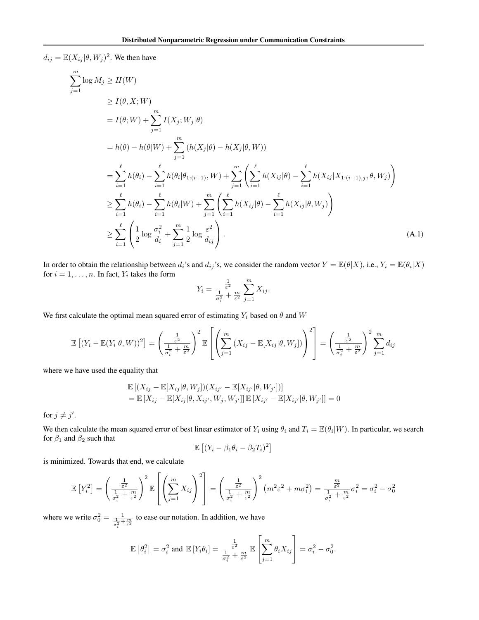$d_{ij} = \mathbb{E}(X_{ij}|\theta, W_j)^2$ . We then have

$$
\sum_{j=1}^{m} \log M_{j} \ge H(W)
$$
\n
$$
\ge I(\theta, X; W)
$$
\n
$$
= I(\theta; W) + \sum_{j=1}^{m} I(X_{j}; W_{j}|\theta)
$$
\n
$$
= h(\theta) - h(\theta|W) + \sum_{j=1}^{m} (h(X_{j}|\theta) - h(X_{j}|\theta, W))
$$
\n
$$
= \sum_{i=1}^{\ell} h(\theta_{i}) - \sum_{i=1}^{\ell} h(\theta_{i}|\theta_{1:(i-1)}, W) + \sum_{j=1}^{m} \left( \sum_{i=1}^{\ell} h(X_{ij}|\theta) - \sum_{i=1}^{\ell} h(X_{ij}|X_{1:(i-1),j}, \theta, W_{j}) \right)
$$
\n
$$
\ge \sum_{i=1}^{\ell} h(\theta_{i}) - \sum_{i=1}^{\ell} h(\theta_{i}|W) + \sum_{j=1}^{m} \left( \sum_{i=1}^{\ell} h(X_{ij}|\theta) - \sum_{i=1}^{\ell} h(X_{ij}|\theta, W_{j}) \right)
$$
\n
$$
\ge \sum_{i=1}^{\ell} \left( \frac{1}{2} \log \frac{\sigma_{i}^{2}}{d_{i}} + \sum_{j=1}^{m} \frac{1}{2} \log \frac{\varepsilon^{2}}{d_{ij}} \right).
$$
\n(A.1)

In order to obtain the relationship between  $d_i$ 's and  $d_{ij}$ 's, we consider the random vector  $Y = \mathbb{E}(\theta|X)$ , i.e.,  $Y_i = \mathbb{E}(\theta_i|X)$ for  $i = 1, \ldots, n$ . In fact,  $Y_i$  takes the form

$$
Y_i = \frac{\frac{1}{\varepsilon^2}}{\frac{1}{\sigma_i^2} + \frac{m}{\varepsilon^2}} \sum_{j=1}^m X_{ij}.
$$

We first calculate the optimal mean squared error of estimating  $Y_i$  based on  $\theta$  and W

$$
\mathbb{E}\left[(Y_i - \mathbb{E}(Y_i|\theta, W))^2\right] = \left(\frac{\frac{1}{\varepsilon^2}}{\frac{1}{\sigma_i^2} + \frac{m}{\varepsilon^2}}\right)^2 \mathbb{E}\left[\left(\sum_{j=1}^m (X_{ij} - \mathbb{E}[X_{ij}|\theta, W_j])\right)^2\right] = \left(\frac{\frac{1}{\varepsilon^2}}{\frac{1}{\sigma_i^2} + \frac{m}{\varepsilon^2}}\right)^2 \sum_{j=1}^m d_{ij}
$$

where we have used the equality that

$$
\mathbb{E}[(X_{ij} - \mathbb{E}[X_{ij}|\theta, W_j])(X_{ij'} - \mathbb{E}[X_{ij'}|\theta, W_{j'}])]
$$
  
= 
$$
\mathbb{E}[X_{ij} - \mathbb{E}[X_{ij}|\theta, X_{ij'}, W_j, W_{j'}]] \mathbb{E}[X_{ij'} - \mathbb{E}[X_{ij'}|\theta, W_{j'}]] = 0
$$

for  $j \neq j'$ .

We then calculate the mean squared error of best linear estimator of  $Y_i$  using  $\theta_i$  and  $T_i = \mathbb{E}(\theta_i|W)$ . In particular, we search for  $\beta_1$  and  $\beta_2$  such that

$$
\mathbb{E}\left[ (Y_i - \beta_1 \theta_i - \beta_2 T_i)^2 \right]
$$

is minimized. Towards that end, we calculate

$$
\mathbb{E}\left[Y_i^2\right] = \left(\frac{\frac{1}{\varepsilon^2}}{\frac{1}{\sigma_i^2} + \frac{m}{\varepsilon^2}}\right)^2 \mathbb{E}\left[\left(\sum_{j=1}^m X_{ij}\right)^2\right] = \left(\frac{\frac{1}{\varepsilon^2}}{\frac{1}{\sigma_i^2} + \frac{m}{\varepsilon^2}}\right)^2 \left(m^2\varepsilon^2 + m\sigma_i^2\right) = \frac{\frac{m}{\varepsilon^2}}{\frac{1}{\sigma_i^2} + \frac{m}{\varepsilon^2}}\sigma_i^2 = \sigma_i^2 - \sigma_0^2
$$

where we write  $\sigma_0^2 = \frac{1}{\sigma_i^2 + \frac{m}{\varepsilon^2}}$  to ease our notation. In addition, we have

$$
\mathbb{E}\left[\theta_i^2\right] = \sigma_i^2 \text{ and } \mathbb{E}\left[Y_i\theta_i\right] = \frac{\frac{1}{\varepsilon^2}}{\frac{1}{\sigma_i^2} + \frac{m}{\varepsilon^2}} \mathbb{E}\left[\sum_{j=1}^m \theta_i X_{ij}\right] = \sigma_i^2 - \sigma_0^2.
$$